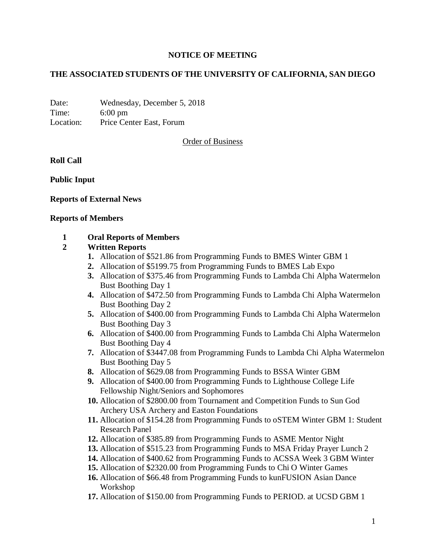# **NOTICE OF MEETING**

# **THE ASSOCIATED STUDENTS OF THE UNIVERSITY OF CALIFORNIA, SAN DIEGO**

Date: Wednesday, December 5, 2018 Time: 6:00 pm Location: Price Center East, Forum

Order of Business

**Roll Call**

**Public Input**

# **Reports of External News**

#### **Reports of Members**

# **1 Oral Reports of Members**

# **2 Written Reports**

- **1.** Allocation of \$521.86 from Programming Funds to BMES Winter GBM 1
- **2.** Allocation of \$5199.75 from Programming Funds to BMES Lab Expo
- **3.** Allocation of \$375.46 from Programming Funds to Lambda Chi Alpha Watermelon Bust Boothing Day 1
- **4.** Allocation of \$472.50 from Programming Funds to Lambda Chi Alpha Watermelon Bust Boothing Day 2
- **5.** Allocation of \$400.00 from Programming Funds to Lambda Chi Alpha Watermelon Bust Boothing Day 3
- **6.** Allocation of \$400.00 from Programming Funds to Lambda Chi Alpha Watermelon Bust Boothing Day 4
- **7.** Allocation of \$3447.08 from Programming Funds to Lambda Chi Alpha Watermelon Bust Boothing Day 5
- **8.** Allocation of \$629.08 from Programming Funds to BSSA Winter GBM
- **9.** Allocation of \$400.00 from Programming Funds to Lighthouse College Life Fellowship Night/Seniors and Sophomores
- **10.** Allocation of \$2800.00 from Tournament and Competition Funds to Sun God Archery USA Archery and Easton Foundations
- **11.** Allocation of \$154.28 from Programming Funds to oSTEM Winter GBM 1: Student Research Panel
- **12.** Allocation of \$385.89 from Programming Funds to ASME Mentor Night
- **13.** Allocation of \$515.23 from Programming Funds to MSA Friday Prayer Lunch 2
- **14.** Allocation of \$400.62 from Programming Funds to ACSSA Week 3 GBM Winter
- **15.** Allocation of \$2320.00 from Programming Funds to Chi O Winter Games
- **16.** Allocation of \$66.48 from Programming Funds to kunFUSION Asian Dance Workshop
- **17.** Allocation of \$150.00 from Programming Funds to PERIOD. at UCSD GBM 1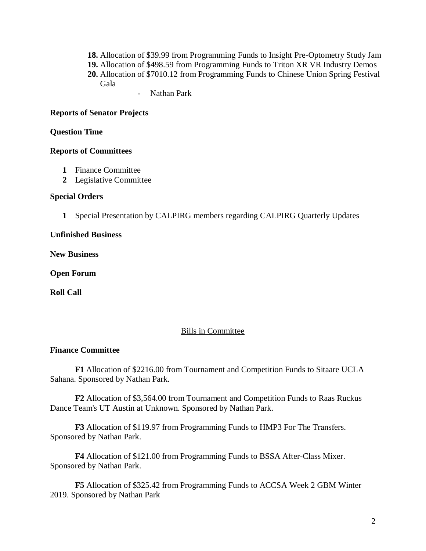- **18.** Allocation of \$39.99 from Programming Funds to Insight Pre-Optometry Study Jam
- **19.** Allocation of \$498.59 from Programming Funds to Triton XR VR Industry Demos
- **20.** Allocation of \$7010.12 from Programming Funds to Chinese Union Spring Festival Gala
	- Nathan Park

### **Reports of Senator Projects**

### **Question Time**

#### **Reports of Committees**

- **1** Finance Committee
- **2** Legislative Committee

#### **Special Orders**

**1** Special Presentation by CALPIRG members regarding CALPIRG Quarterly Updates

## **Unfinished Business**

**New Business**

**Open Forum**

**Roll Call**

# Bills in Committee

# **Finance Committee**

**F1** Allocation of \$2216.00 from Tournament and Competition Funds to Sitaare UCLA Sahana. Sponsored by Nathan Park.

**F2** Allocation of \$3,564.00 from Tournament and Competition Funds to Raas Ruckus Dance Team's UT Austin at Unknown. Sponsored by Nathan Park.

**F3** Allocation of \$119.97 from Programming Funds to HMP3 For The Transfers. Sponsored by Nathan Park.

**F4** Allocation of \$121.00 from Programming Funds to BSSA After-Class Mixer. Sponsored by Nathan Park.

**F5** Allocation of \$325.42 from Programming Funds to ACCSA Week 2 GBM Winter 2019. Sponsored by Nathan Park